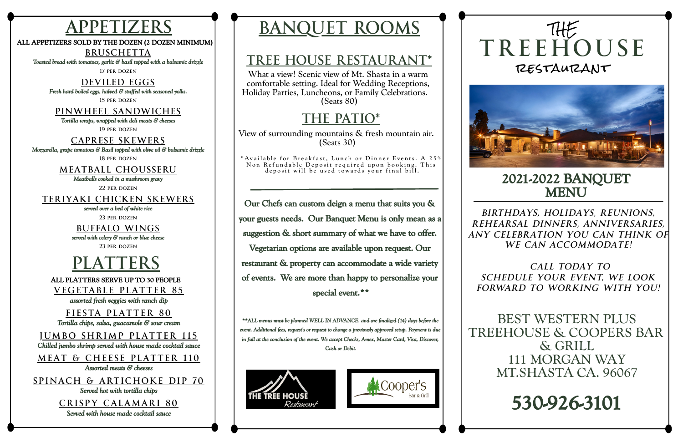# **TREEHOUSE** IHE restaurant



# **2021-2022 BANQUET MENU**

*BIRTHDAYS, HOLIDAYS, REUNIONS, REHEARSAL DINNERS, ANNIVERSARIES, ANY CELEBRATION YOU CAN THINK OF WE CAN ACCOMMODATE!*

*CALL TODAY TO SCHEDULE YOUR EVENT, WE LOOK FORWARD TO WORKING WITH YOU!*



BEST WESTERN PLUS TREEHOUSE & COOPERS BAR & GRILL 111 MORGAN WAY MT.SHASTA CA. 96067

# **530-926-3101**

# **APPETIZERS BANQUET ROOMS**

What a view! Scenic view of Mt. Shasta in a warm comfortable setting. Ideal for Wedding Receptions, Holiday Parties, Luncheons, or Family Celebrations. (Seats 80)

## **TREE HOUSE RESTAURANT\***

View of surrounding mountains & fresh mountain air. (Seats 30)

\* Available for Breakfast, Lunch or Dinner Events. A 25% Non Refundable Deposit required upon booking. This deposit will be used towards your final bill.

# **THE PATIO\***

**Our Chefs can custom deign a menu that suits you & your guests needs. Our Banquet Menu is only mean as a suggestion & short summary of what we have to offer. Vegetarian options are available upon request. Our restaurant & property can accommodate a wide variety of events. We are more than happy to personalize your**

**special event.\*\***

*\*\*ALL menus must be planned WELL IN ADVANCE. and are finalized (14) days before the event. Additional fees, request's or request to change a previously approved setup. Payment is due in full at the conclusion of the event. We accept Checks, Amex, Master Card, Visa, Discover, Cash or Debit.*







**BRUSCHETTA**

*Toasted bread with tomatoes, garlic & basil topped with a balsamic drizzle*

**17 per dozen**

#### **DEVILED EGGS**

*Fresh hard boiled eggs, halved & stuffed with seasoned yolks.*

**15 per dozen**

### **PINWHEEL SANDWICHES**

*Tortilla wraps, wrapped with deli meats & cheeses*

**19 per dozen**

### **CAPRESE SKEWERS**

*Mozzarella, grape tomatoes & Basil topped with olive oil & balsamic drizzle*

**18 per dozen**

### **MEATBALL CHOUSSERU**

*Meatballs cooked in a mushroom gravy*

**22 per dozen**

### **TERIYAKI CHICKEN SKEWERS**

*served over a bed of white rice*

**23 per dozen**

**BUFFALO WINGS** *served with celery & ranch or blue cheese*

**23 per dozen**



### **ALL APPETIZERS SOLD BY THE DOZEN (2 DOZEN MINIMUM)**



*assorted fresh veggies with ranch dip*

**F IESTA PLATTER 80** *Tortilla chips, salsa, guacamole & sour cream*

### **J UMB O SHRIMP PLATTER 1 1 5**

*Chilled jumbo shrimp served with house made cocktail sauce*

**VEGETABLE PLATTER 8 5 ALL PLATTERS SERVE UP TO 30 PEOPLE**

**MEAT & CHEESE PLATTER 1 10** *Assorted meats & cheeses*

**SPINACH & ARTICHOKE DIP 70**

*Served hot with tortilla chips*

**CRI SPY CALAMARI 80** *Served with house made cocktail sauce*